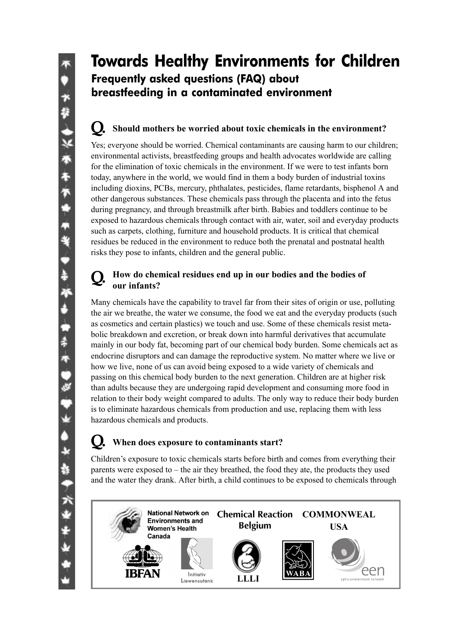# **Towards Healthy Environments for Children Frequently asked questions (FAQ) about breastfeeding in a contaminated environment**

#### **Q. Should mothers be worried about toxic chemicals in the environment?**

Yes; everyone should be worried. Chemical contaminants are causing harm to our children; environmental activists, breastfeeding groups and health advocates worldwide are calling for the elimination of toxic chemicals in the environment. If we were to test infants born today, anywhere in the world, we would find in them a body burden of industrial toxins including dioxins, PCBs, mercury, phthalates, pesticides, flame retardants, bisphenol A and other dangerous substances. These chemicals pass through the placenta and into the fetus during pregnancy, and through breastmilk after birth. Babies and toddlers continue to be exposed to hazardous chemicals through contact with air, water, soil and everyday products such as carpets, clothing, furniture and household products. It is critical that chemical residues be reduced in the environment to reduce both the prenatal and postnatal health risks they pose to infants, children and the general public.

### **Q. How do chemical residues end up in our bodies and the bodies of our infants?**

Many chemicals have the capability to travel far from their sites of origin or use, polluting the air we breathe, the water we consume, the food we eat and the everyday products (such as cosmetics and certain plastics) we touch and use. Some of these chemicals resist metabolic breakdown and excretion, or break down into harmful derivatives that accumulate mainly in our body fat, becoming part of our chemical body burden. Some chemicals act as endocrine disruptors and can damage the reproductive system. No matter where we live or how we live, none of us can avoid being exposed to a wide variety of chemicals and passing on this chemical body burden to the next generation. Children are at higher risk than adults because they are undergoing rapid development and consuming more food in relation to their body weight compared to adults. The only way to reduce their body burden is to eliminate hazardous chemicals from production and use, replacing them with less hazardous chemicals and products.

# **Q. When does exposure to contaminants start?**

Children's exposure to toxic chemicals starts before birth and comes from everything their parents were exposed to – the air they breathed, the food they ate, the products they used and the water they drank. After birth, a child continues to be exposed to chemicals through

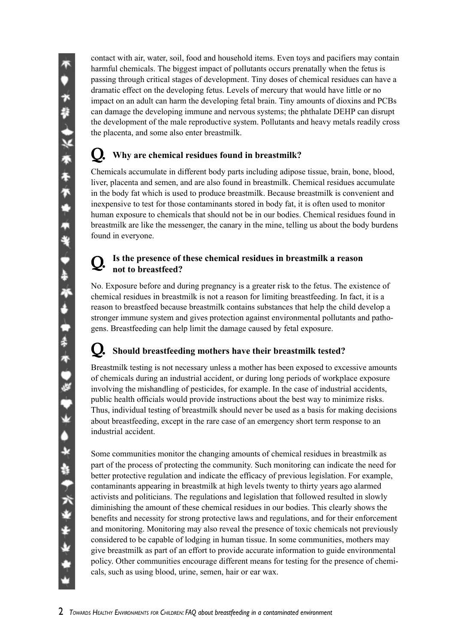contact with air, water, soil, food and household items. Even toys and pacifiers may contain harmful chemicals. The biggest impact of pollutants occurs prenatally when the fetus is passing through critical stages of development. Tiny doses of chemical residues can have a dramatic effect on the developing fetus. Levels of mercury that would have little or no impact on an adult can harm the developing fetal brain. Tiny amounts of dioxins and PCBs can damage the developing immune and nervous systems; the phthalate DEHP can disrupt the development of the male reproductive system. Pollutants and heavy metals readily cross the placenta, and some also enter breastmilk.

#### **Q. Why are chemical residues found in breastmilk?**

Chemicals accumulate in different body parts including adipose tissue, brain, bone, blood, liver, placenta and semen, and are also found in breastmilk. Chemical residues accumulate in the body fat which is used to produce breastmilk. Because breastmilk is convenient and inexpensive to test for those contaminants stored in body fat, it is often used to monitor human exposure to chemicals that should not be in our bodies. Chemical residues found in breastmilk are like the messenger, the canary in the mine, telling us about the body burdens found in everyone.

#### **Q. Is the presence of these chemical residues in breastmilk a reason not to breastfeed?**

No. Exposure before and during pregnancy is a greater risk to the fetus. The existence of chemical residues in breastmilk is not a reason for limiting breastfeeding. In fact, it is a reason to breastfeed because breastmilk contains substances that help the child develop a stronger immune system and gives protection against environmental pollutants and pathogens. Breastfeeding can help limit the damage caused by fetal exposure.

#### **Q. Should breastfeeding mothers have their breastmilk tested?**

Breastmilk testing is not necessary unless a mother has been exposed to excessive amounts of chemicals during an industrial accident, or during long periods of workplace exposure involving the mishandling of pesticides, for example. In the case of industrial accidents, public health officials would provide instructions about the best way to minimize risks. Thus, individual testing of breastmilk should never be used as a basis for making decisions about breastfeeding, except in the rare case of an emergency short term response to an industrial accident.

Some communities monitor the changing amounts of chemical residues in breastmilk as part of the process of protecting the community. Such monitoring can indicate the need for better protective regulation and indicate the efficacy of previous legislation. For example, contaminants appearing in breastmilk at high levels twenty to thirty years ago alarmed activists and politicians. The regulations and legislation that followed resulted in slowly diminishing the amount of these chemical residues in our bodies. This clearly shows the benefits and necessity for strong protective laws and regulations, and for their enforcement and monitoring. Monitoring may also reveal the presence of toxic chemicals not previously considered to be capable of lodging in human tissue. In some communities, mothers may give breastmilk as part of an effort to provide accurate information to guide environmental policy. Other communities encourage different means for testing for the presence of chemicals, such as using blood, urine, semen, hair or ear wax.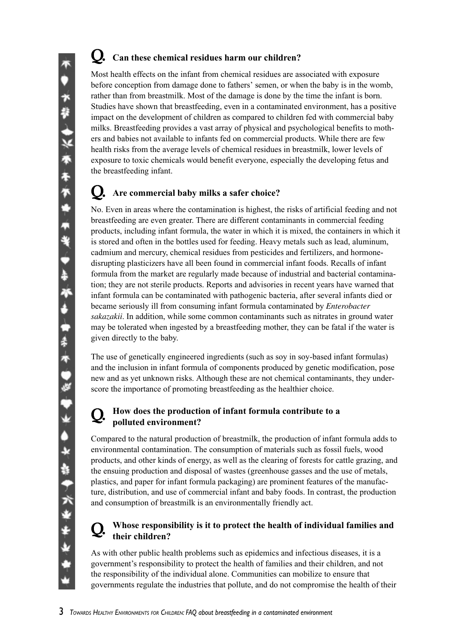# **Q. Can these chemical residues harm our children?**

Most health effects on the infant from chemical residues are associated with exposure before conception from damage done to fathers' semen, or when the baby is in the womb, rather than from breastmilk. Most of the damage is done by the time the infant is born. Studies have shown that breastfeeding, even in a contaminated environment, has a positive impact on the development of children as compared to children fed with commercial baby milks. Breastfeeding provides a vast array of physical and psychological benefits to mothers and babies not available to infants fed on commercial products. While there are few health risks from the average levels of chemical residues in breastmilk, lower levels of exposure to toxic chemicals would benefit everyone, especially the developing fetus and the breastfeeding infant.

# **Q. Are commercial baby milks a safer choice?**

No. Even in areas where the contamination is highest, the risks of artificial feeding and not breastfeeding are even greater. There are different contaminants in commercial feeding products, including infant formula, the water in which it is mixed, the containers in which it is stored and often in the bottles used for feeding. Heavy metals such as lead, aluminum, cadmium and mercury, chemical residues from pesticides and fertilizers, and hormonedisrupting plasticizers have all been found in commercial infant foods. Recalls of infant formula from the market are regularly made because of industrial and bacterial contamination; they are not sterile products. Reports and advisories in recent years have warned that infant formula can be contaminated with pathogenic bacteria, after several infants died or became seriously ill from consuming infant formula contaminated by *Enterobacter sakazakii*. In addition, while some common contaminants such as nitrates in ground water may be tolerated when ingested by a breastfeeding mother, they can be fatal if the water is given directly to the baby.

The use of genetically engineered ingredients (such as soy in soy-based infant formulas) and the inclusion in infant formula of components produced by genetic modification, pose new and as yet unknown risks. Although these are not chemical contaminants, they underscore the importance of promoting breastfeeding as the healthier choice.

#### **Q. How does the production of infant formula contribute to a polluted environment?**

Compared to the natural production of breastmilk, the production of infant formula adds to environmental contamination. The consumption of materials such as fossil fuels, wood products, and other kinds of energy, as well as the clearing of forests for cattle grazing, and the ensuing production and disposal of wastes (greenhouse gasses and the use of metals, plastics, and paper for infant formula packaging) are prominent features of the manufacture, distribution, and use of commercial infant and baby foods. In contrast, the production and consumption of breastmilk is an environmentally friendly act.

#### **Q. Whose responsibility is it to protect the health of individual families and their children?**

As with other public health problems such as epidemics and infectious diseases, it is a government's responsibility to protect the health of families and their children, and not the responsibility of the individual alone. Communities can mobilize to ensure that governments regulate the industries that pollute, and do not compromise the health of their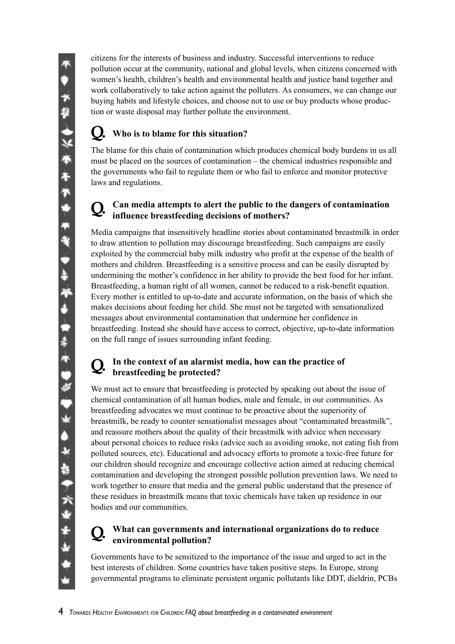citizens for the interests of business and industry. Successful interventions to reduce pollution occur at the community, national and global levels, when citizens concerned with women's health, children's health and environmental health and justice band together and work collaboratively to take action against the polluters. As consumers, we can change our buying habits and lifestyle choices, and choose not to use or buy products whose production or waste disposal may further pollute the environment.

# **Q. Who is to blame for this situation?**

The blame for this chain of contamination which produces chemical body burdens in us all must be placed on the sources of contamination – the chemical industries responsible and the governments who fail to regulate them or who fail to enforce and monitor protective laws and regulations.

### **Q. Can media attempts to alert the public to the dangers of contamination influence breastfeeding decisions of mothers?**

Media campaigns that insensitively headline stories about contaminated breastmilk in order to draw attention to pollution may discourage breastfeeding. Such campaigns are easily exploited by the commercial baby milk industry who profit at the expense of the health of mothers and children. Breastfeeding is a sensitive process and can be easily disrupted by undermining the mother's confidence in her ability to provide the best food for her infant. Breastfeeding, a human right of all women, cannot be reduced to a risk-benefit equation. Every mother is entitled to up-to-date and accurate information, on the basis of which she makes decisions about feeding her child. She must not be targeted with sensationalized messages about environmental contamination that undermine her confidence in breastfeeding. Instead she should have access to correct, objective, up-to-date information on the full range of issues surrounding infant feeding.

#### **Q. In the context of an alarmist media, how can the practice of breastfeeding be protected?**

We must act to ensure that breastfeeding is protected by speaking out about the issue of chemical contamination of all human bodies, male and female, in our communities. As breastfeeding advocates we must continue to be proactive about the superiority of breastmilk, be ready to counter sensationalist messages about "contaminated breastmilk", and reassure mothers about the quality of their breastmilk with advice when necessary about personal choices to reduce risks (advice such as avoiding smoke, not eating fish from polluted sources, etc). Educational and advocacy efforts to promote a toxic-free future for our children should recognize and encourage collective action aimed at reducing chemical contamination and developing the strongest possible pollution prevention laws. We need to work together to ensure that media and the general public understand that the presence of these residues in breastmilk means that toxic chemicals have taken up residence in our bodies and our communities.

### **Q. What can governments and international organizations do to reduce environmental pollution?**

Governments have to be sensitized to the importance of the issue and urged to act in the best interests of children. Some countries have taken positive steps. In Europe, strong governmental programs to eliminate persistent organic pollutants like DDT, dieldrin, PCBs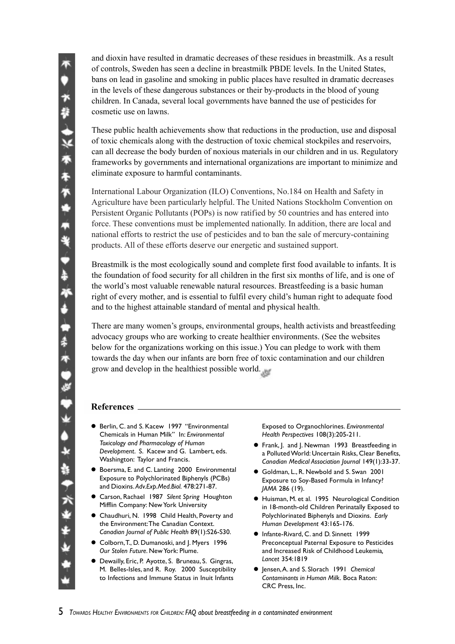and dioxin have resulted in dramatic decreases of these residues in breastmilk. As a result of controls, Sweden has seen a decline in breastmilk PBDE levels. In the United States, bans on lead in gasoline and smoking in public places have resulted in dramatic decreases in the levels of these dangerous substances or their by-products in the blood of young children. In Canada, several local governments have banned the use of pesticides for cosmetic use on lawns.

These public health achievements show that reductions in the production, use and disposal of toxic chemicals along with the destruction of toxic chemical stockpiles and reservoirs, can all decrease the body burden of noxious materials in our children and in us. Regulatory frameworks by governments and international organizations are important to minimize and eliminate exposure to harmful contaminants. International Labour Organization (ILO) Conventions, especially Convention No. 184 on

International Labour Organization (ILO) Conventions, No.184 on Health and Safety in Agriculture have been particularly helpful. The United Nations Stockholm Convention on Persistent Organic Pollutants (POPs) is now ratified by 50 countries and has entered into force. These conventions must be implemented nationally. In addition, there are local and national efforts to restrict the use of pesticides and to ban the sale of mercury-containing products. All of these efforts deserve our energetic and sustained support.

the foundation of food security for all children in the first six months of life, and is one of the world's most valuable renewable natural resources. Breastfeeding is a basic human right of every mother, and is essential to fulfil every child's human right to adequate food and to the highest attainable standard of mental and physical health. Breastmilk is the most ecologically sound and complete first food available to infants. It is

advocacy groups who are working to create healthier environments. (See the websites below for the organizations working on this issue.) You can pledge to work with them towards the day when our infants are born free of toxic contamination and our children grow and develop in the healthiest possible world. There are many women's groups, environmental groups, health activists and breastfeeding

### **References**

- Berlin, C. and S. Kacew 1997 "Environmental Chemicals in Human Milk" In: *Environmental Toxicology and Pharmacology of Human* **Toxicology and Pharmacology of Human** Development. S. Kacew and G. Lambert, eds. Washington: Taylor and Francis.
- $\bullet$  Boersma, E. and C. Lanting 2000 Environmental Exposure to Polychlorinated Biphenyls (PCBs) and Dioxins. Adv.Exp.Med.Biol. 478:271-87.
- $\bullet$  Carson, Rachael 1987 Silent Spring Houghton Mifflin Company: New York University
- $\bullet$  Chaudhuri, N. 1998 Child Health, Poverty and the Environment: The Canadian Context. Canadian Journal of Public Health 89(1):S26-S30.
- Colborn, T., D. Dumanoski, and J. Myers 1996 *Our Stolen Future.* New York: Plume.
- $\bullet$  Dewailly, Eric, P. Ayotte, S. Bruneau, S. Gingras, M. Belles-Isles, and R. Roy. 2000 Susceptibility to Infections and Immune Status in Inuit Infants

Exposed to Organochlorines. Environmental *Health Perspectives* 108(3):205-211.

- Frank, J. and J. Newman 1993 Breastfeeding in a Polluted World: Uncertain Risks, Clear Benefits, Canadian Medical Association Journal 149(1):33-37.
- $\bullet$  Goldman, L., R. Newbold and S. Swan 2001 Exposure to Soy-Based Formula in Infancy? *JAMA* 286 (19).
- $\bullet$  Huisman, M. et al. 1995 Neurological Condition in 18-month-old Children Perinatally Exposed to Polychlorinated Biphenyls and Dioxins. Early Human Development 43:165-176.
- **•** Infante-Rivard, C. and D. Sinnett 1999 Preconceptual Paternal Exposure to Pesticides and Increased Risk of Childhood Leukemia, *Lancet* 354:1819 � Jensen, A. and S. Slorach 1991 *Chemical*
- $\bullet$  Jensen, A. and S. Slorach 1991 *Chemical F*<br>Contaminants in Human Milk. Boca Raton: CRC Press, Inc.